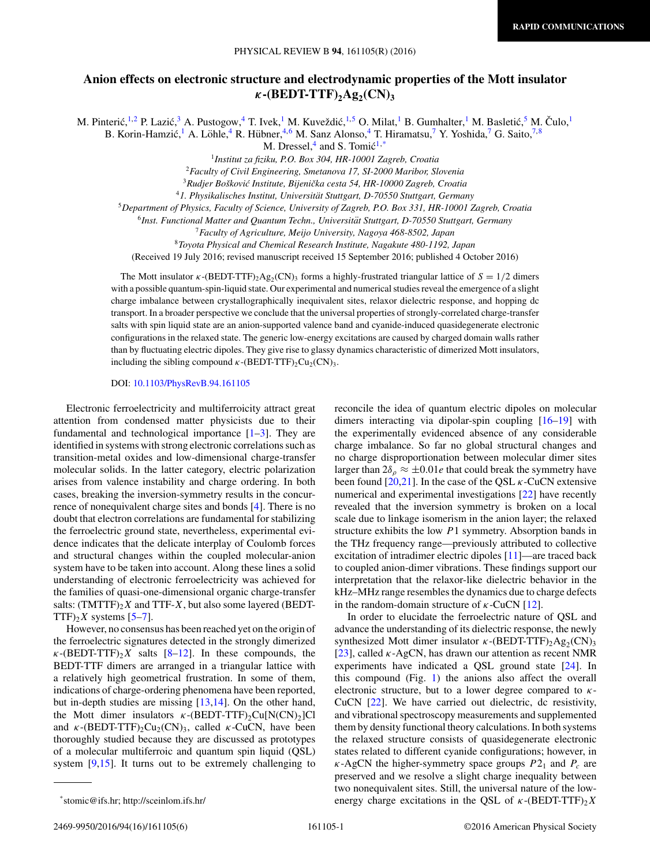## **Anion effects on electronic structure and electrodynamic properties of the Mott insulator**  $\kappa$ **-(BEDT-TTF)**<sub>2</sub>Ag<sub>2</sub>(CN)<sub>3</sub>

M. Pinterić,<sup>1,2</sup> P. Lazić,<sup>3</sup> A. Pustogow,<sup>4</sup> T. Ivek,<sup>1</sup> M. Kuveždić,<sup>1,5</sup> O. Milat,<sup>1</sup> B. Gumhalter,<sup>1</sup> M. Basletić,<sup>5</sup> M. Čulo,<sup>1</sup>

B. Korin-Hamzić,<sup>1</sup> A. Löhle, <sup>4</sup> R. Hübner, <sup>4,6</sup> M. Sanz Alonso, <sup>4</sup> T. Hiramatsu, <sup>7</sup> Y. Yoshida, <sup>7</sup> G. Saito, <sup>7,8</sup>

M. Dressel,<sup>4</sup> and S. Tomi $\acute{c}^{1,*}$ 

<sup>1</sup>*Institut za fiziku, P.O. Box 304, HR-10001 Zagreb, Croatia*

<sup>2</sup>*Faculty of Civil Engineering, Smetanova 17, SI-2000 Maribor, Slovenia*

<sup>3</sup> Rudjer Bošković Institute, Bijenička cesta 54, HR-10000 Zagreb, Croatia

<sup>4</sup>*1. Physikalisches Institut, Universitat Stuttgart, D-70550 Stuttgart, Germany ¨*

<sup>5</sup>*Department of Physics, Faculty of Science, University of Zagreb, P.O. Box 331, HR-10001 Zagreb, Croatia*

<sup>6</sup>*Inst. Functional Matter and Quantum Techn., Universitat Stuttgart, D-70550 Stuttgart, Germany ¨*

<sup>7</sup>*Faculty of Agriculture, Meijo University, Nagoya 468-8502, Japan*

<sup>8</sup>*Toyota Physical and Chemical Research Institute, Nagakute 480-1192, Japan*

(Received 19 July 2016; revised manuscript received 15 September 2016; published 4 October 2016)

The Mott insulator  $\kappa$ -(BEDT-TTF)<sub>2</sub>Ag<sub>2</sub>(CN)<sub>3</sub> forms a highly-frustrated triangular lattice of  $S = 1/2$  dimers with a possible quantum-spin-liquid state. Our experimental and numerical studies reveal the emergence of a slight charge imbalance between crystallographically inequivalent sites, relaxor dielectric response, and hopping dc transport. In a broader perspective we conclude that the universal properties of strongly-correlated charge-transfer salts with spin liquid state are an anion-supported valence band and cyanide-induced quasidegenerate electronic configurations in the relaxed state. The generic low-energy excitations are caused by charged domain walls rather than by fluctuating electric dipoles. They give rise to glassy dynamics characteristic of dimerized Mott insulators, including the sibling compound  $\kappa$ -(BEDT-TTF)<sub>2</sub>Cu<sub>2</sub>(CN)<sub>3</sub>.

DOI: [10.1103/PhysRevB.94.161105](http://dx.doi.org/10.1103/PhysRevB.94.161105)

Electronic ferroelectricity and multiferroicity attract great attention from condensed matter physicists due to their fundamental and technological importance  $[1-3]$ . They are identified in systems with strong electronic correlations such as transition-metal oxides and low-dimensional charge-transfer molecular solids. In the latter category, electric polarization arises from valence instability and charge ordering. In both cases, breaking the inversion-symmetry results in the concurrence of nonequivalent charge sites and bonds [\[4\]](#page-4-0). There is no doubt that electron correlations are fundamental for stabilizing the ferroelectric ground state, nevertheless, experimental evidence indicates that the delicate interplay of Coulomb forces and structural changes within the coupled molecular-anion system have to be taken into account. Along these lines a solid understanding of electronic ferroelectricity was achieved for the families of quasi-one-dimensional organic charge-transfer salts:  $(TMTTF)_{2}X$  and  $TTF-X$ , but also some layered (BEDT-TTF $_{2}X$  systems [\[5–7\]](#page-4-0).

However, no consensus has been reached yet on the origin of the ferroelectric signatures detected in the strongly dimerized  $\kappa$ -(BEDT-TTF)<sub>2</sub>*X* salts [\[8–12\]](#page-4-0). In these compounds, the BEDT-TTF dimers are arranged in a triangular lattice with a relatively high geometrical frustration. In some of them, indications of charge-ordering phenomena have been reported, but in-depth studies are missing [\[13,14\]](#page-4-0). On the other hand, the Mott dimer insulators  $\kappa$ -(BEDT-TTF)<sub>2</sub>Cu[N(CN)<sub>2</sub>]Cl and  $\kappa$ -(BEDT-TTF)<sub>2</sub>Cu<sub>2</sub>(CN)<sub>3</sub>, called  $\kappa$ -CuCN, have been thoroughly studied because they are discussed as prototypes of a molecular multiferroic and quantum spin liquid (QSL) system [\[9,15\]](#page-4-0). It turns out to be extremely challenging to reconcile the idea of quantum electric dipoles on molecular dimers interacting via dipolar-spin coupling [\[16–19\]](#page-4-0) with the experimentally evidenced absence of any considerable charge imbalance. So far no global structural changes and no charge disproportionation between molecular dimer sites larger than  $2\delta_{\rho} \approx \pm 0.01e$  that could break the symmetry have been found [\[20,21\]](#page-4-0). In the case of the QSL *κ*-CuCN extensive numerical and experimental investigations [\[22\]](#page-4-0) have recently revealed that the inversion symmetry is broken on a local scale due to linkage isomerism in the anion layer; the relaxed structure exhibits the low *P*1 symmetry. Absorption bands in the THz frequency range—previously attributed to collective excitation of intradimer electric dipoles [\[11\]](#page-4-0)—are traced back to coupled anion-dimer vibrations. These findings support our interpretation that the relaxor-like dielectric behavior in the kHz–MHz range resembles the dynamics due to charge defects in the random-domain structure of  $\kappa$ -CuCN [\[12\]](#page-4-0).

In order to elucidate the ferroelectric nature of QSL and advance the understanding of its dielectric response, the newly synthesized Mott dimer insulator  $\kappa$ -(BEDT-TTF)<sub>2</sub>Ag<sub>2</sub>(CN)<sub>3</sub> [\[23\]](#page-4-0), called *κ*-AgCN, has drawn our attention as recent NMR experiments have indicated a QSL ground state [\[24\]](#page-4-0). In this compound (Fig. [1\)](#page-1-0) the anions also affect the overall electronic structure, but to a lower degree compared to *κ*-CuCN [\[22\]](#page-4-0). We have carried out dielectric, dc resistivity, and vibrational spectroscopy measurements and supplemented them by density functional theory calculations. In both systems the relaxed structure consists of quasidegenerate electronic states related to different cyanide configurations; however, in  $\kappa$ -AgCN the higher-symmetry space groups  $P_1$  and  $P_c$  are preserved and we resolve a slight charge inequality between two nonequivalent sites. Still, the universal nature of the lowenergy charge excitations in the QSL of *κ*-(BEDT-TTF)2*X*

<sup>\*</sup>stomic@ifs.hr; http://sceinlom.ifs.hr/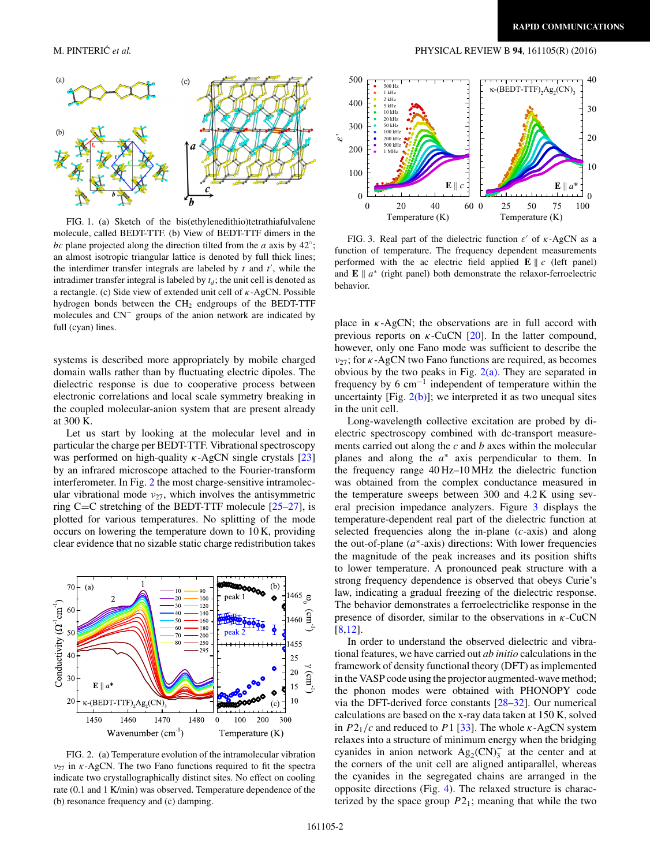<span id="page-1-0"></span>

FIG. 1. (a) Sketch of the bis(ethylenedithio)tetrathiafulvalene molecule, called BEDT-TTF. (b) View of BEDT-TTF dimers in the *bc* plane projected along the direction tilted from the *a* axis by 42°; an almost isotropic triangular lattice is denoted by full thick lines; the interdimer transfer integrals are labeled by  $t$  and  $t'$ , while the intradimer transfer integral is labeled by  $t_d$ ; the unit cell is denoted as a rectangle. (c) Side view of extended unit cell of *κ*-AgCN. Possible hydrogen bonds between the CH<sub>2</sub> endgroups of the BEDT-TTF molecules and CN<sup>−</sup> groups of the anion network are indicated by full (cyan) lines.

systems is described more appropriately by mobile charged domain walls rather than by fluctuating electric dipoles. The dielectric response is due to cooperative process between electronic correlations and local scale symmetry breaking in the coupled molecular-anion system that are present already at 300 K.

Let us start by looking at the molecular level and in particular the charge per BEDT-TTF. Vibrational spectroscopy was performed on high-quality *κ*-AgCN single crystals [\[23\]](#page-4-0) by an infrared microscope attached to the Fourier-transform interferometer. In Fig. 2 the most charge-sensitive intramolecular vibrational mode  $v_{27}$ , which involves the antisymmetric ring C=C stretching of the BEDT-TTF molecule  $[25-27]$ , is plotted for various temperatures. No splitting of the mode occurs on lowering the temperature down to 10 K, providing clear evidence that no sizable static charge redistribution takes



FIG. 2. (a) Temperature evolution of the intramolecular vibration *ν*<sup>27</sup> in *κ*-AgCN. The two Fano functions required to fit the spectra indicate two crystallographically distinct sites. No effect on cooling rate (0.1 and 1 K/min) was observed. Temperature dependence of the (b) resonance frequency and (c) damping.



FIG. 3. Real part of the dielectric function *ε'* of *κ*-AgCN as a function of temperature. The frequency dependent measurements performed with the ac electric field applied  $\mathbf{E} \parallel c$  (left panel) and  $\mathbf{E} \parallel a^*$  (right panel) both demonstrate the relaxor-ferroelectric behavior.

place in *κ*-AgCN; the observations are in full accord with previous reports on *κ*-CuCN [\[20\]](#page-4-0). In the latter compound, however, only one Fano mode was sufficient to describe the *ν*27; for *κ*-AgCN two Fano functions are required, as becomes obvious by the two peaks in Fig.  $2(a)$ . They are separated in frequency by 6  $cm^{-1}$  independent of temperature within the uncertainty [Fig.  $2(b)$ ]; we interpreted it as two unequal sites in the unit cell.

Long-wavelength collective excitation are probed by dielectric spectroscopy combined with dc-transport measurements carried out along the *c* and *b* axes within the molecular planes and along the *a*<sup>∗</sup> axis perpendicular to them. In the frequency range 40 Hz–10 MHz the dielectric function was obtained from the complex conductance measured in the temperature sweeps between 300 and 4.2 K using several precision impedance analyzers. Figure 3 displays the temperature-dependent real part of the dielectric function at selected frequencies along the in-plane (*c*-axis) and along the out-of-plane (*a*∗-axis) directions: With lower frequencies the magnitude of the peak increases and its position shifts to lower temperature. A pronounced peak structure with a strong frequency dependence is observed that obeys Curie's law, indicating a gradual freezing of the dielectric response. The behavior demonstrates a ferroelectriclike response in the presence of disorder, similar to the observations in *κ*-CuCN [\[8,12\]](#page-4-0).

In order to understand the observed dielectric and vibrational features, we have carried out *ab initio* calculations in the framework of density functional theory (DFT) as implemented in the VASP code using the projector augmented-wave method; the phonon modes were obtained with PHONOPY code via the DFT-derived force constants [\[28](#page-4-0)[–32\]](#page-5-0). Our numerical calculations are based on the x-ray data taken at 150 K, solved in *P*21*/c* and reduced to *P*1 [\[33\]](#page-5-0). The whole *κ*-AgCN system relaxes into a structure of minimum energy when the bridging cyanides in anion network  $\text{Ag}_2(\text{CN})_3^-$  at the center and at the corners of the unit cell are aligned antiparallel, whereas the cyanides in the segregated chains are arranged in the opposite directions (Fig. [4\)](#page-2-0). The relaxed structure is characterized by the space group  $P2_1$ ; meaning that while the two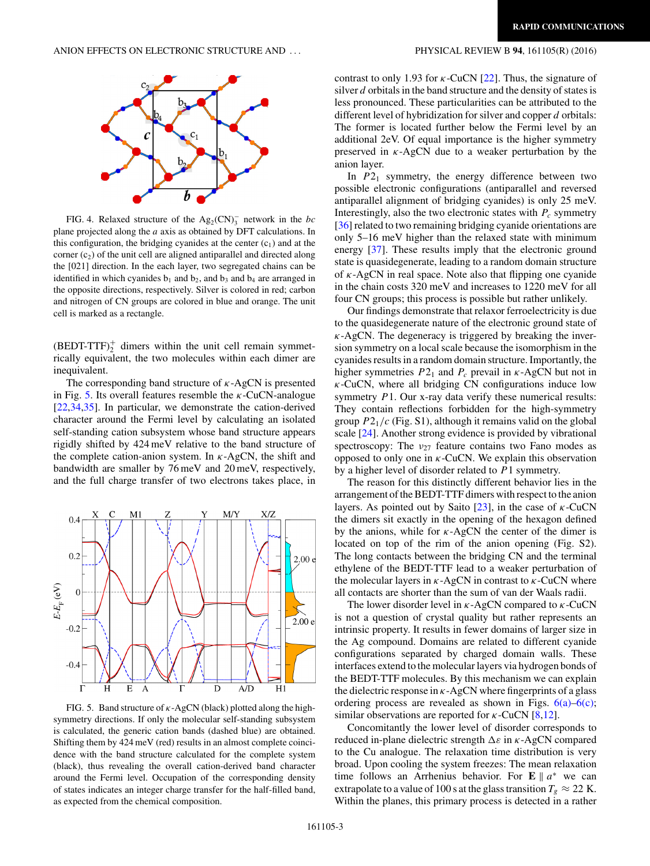<span id="page-2-0"></span>FIG. 4. Relaxed structure of the  $\text{Ag}_2(\text{CN})_3^-$  network in the *bc* plane projected along the *a* axis as obtained by DFT calculations. In this configuration, the bridging cyanides at the center  $(c<sub>1</sub>)$  and at the corner  $(c_2)$  of the unit cell are aligned antiparallel and directed along the [021] direction. In the each layer, two segregated chains can be identified in which cyanides  $b_1$  and  $b_2$ , and  $b_3$  and  $b_4$  are arranged in the opposite directions, respectively. Silver is colored in red; carbon and nitrogen of CN groups are colored in blue and orange. The unit cell is marked as a rectangle.

 $(BEDT-TTF)<sup>+</sup><sub>2</sub>$  dimers within the unit cell remain symmetrically equivalent, the two molecules within each dimer are inequivalent.

The corresponding band structure of *κ*-AgCN is presented in Fig. 5. Its overall features resemble the *κ*-CuCN-analogue [\[22](#page-4-0)[,34,35\]](#page-5-0). In particular, we demonstrate the cation-derived character around the Fermi level by calculating an isolated self-standing cation subsystem whose band structure appears rigidly shifted by 424 meV relative to the band structure of the complete cation-anion system. In *κ*-AgCN, the shift and bandwidth are smaller by 76 meV and 20 meV, respectively, and the full charge transfer of two electrons takes place, in



FIG. 5. Band structure of *κ*-AgCN (black) plotted along the highsymmetry directions. If only the molecular self-standing subsystem is calculated, the generic cation bands (dashed blue) are obtained. Shifting them by 424 meV (red) results in an almost complete coincidence with the band structure calculated for the complete system (black), thus revealing the overall cation-derived band character around the Fermi level. Occupation of the corresponding density of states indicates an integer charge transfer for the half-filled band, as expected from the chemical composition.

contrast to only 1.93 for *κ*-CuCN [\[22\]](#page-4-0). Thus, the signature of silver *d* orbitals in the band structure and the density of states is less pronounced. These particularities can be attributed to the different level of hybridization for silver and copper *d* orbitals: The former is located further below the Fermi level by an additional 2eV. Of equal importance is the higher symmetry preserved in *κ*-AgCN due to a weaker perturbation by the anion layer.

In  $P2_1$  symmetry, the energy difference between two possible electronic configurations (antiparallel and reversed antiparallel alignment of bridging cyanides) is only 25 meV. Interestingly, also the two electronic states with  $P_c$  symmetry [\[36\]](#page-5-0) related to two remaining bridging cyanide orientations are only 5–16 meV higher than the relaxed state with minimum energy [\[37\]](#page-5-0). These results imply that the electronic ground state is quasidegenerate, leading to a random domain structure of *κ*-AgCN in real space. Note also that flipping one cyanide in the chain costs 320 meV and increases to 1220 meV for all four CN groups; this process is possible but rather unlikely.

Our findings demonstrate that relaxor ferroelectricity is due to the quasidegenerate nature of the electronic ground state of *κ*-AgCN. The degeneracy is triggered by breaking the inversion symmetry on a local scale because the isomorphism in the cyanides results in a random domain structure. Importantly, the higher symmetries  $P2_1$  and  $P_c$  prevail in  $\kappa$ -AgCN but not in *κ*-CuCN, where all bridging CN configurations induce low symmetry *P*1. Our x-ray data verify these numerical results: They contain reflections forbidden for the high-symmetry group *P*21*/c* (Fig. S1), although it remains valid on the global scale [\[24\]](#page-4-0). Another strong evidence is provided by vibrational spectroscopy: The *ν*<sub>27</sub> feature contains two Fano modes as opposed to only one in *κ*-CuCN. We explain this observation by a higher level of disorder related to *P*1 symmetry.

The reason for this distinctly different behavior lies in the arrangement of the BEDT-TTF dimers with respect to the anion layers. As pointed out by Saito [\[23\]](#page-4-0), in the case of *κ*-CuCN the dimers sit exactly in the opening of the hexagon defined by the anions, while for *κ*-AgCN the center of the dimer is located on top of the rim of the anion opening (Fig. S2). The long contacts between the bridging CN and the terminal ethylene of the BEDT-TTF lead to a weaker perturbation of the molecular layers in *κ*-AgCN in contrast to *κ*-CuCN where all contacts are shorter than the sum of van der Waals radii.

The lower disorder level in *κ*-AgCN compared to *κ*-CuCN is not a question of crystal quality but rather represents an intrinsic property. It results in fewer domains of larger size in the Ag compound. Domains are related to different cyanide configurations separated by charged domain walls. These interfaces extend to the molecular layers via hydrogen bonds of the BEDT-TTF molecules. By this mechanism we can explain the dielectric response in *κ*-AgCN where fingerprints of a glass ordering process are revealed as shown in Figs.  $6(a)$ – $6(c)$ ; similar observations are reported for *κ*-CuCN [\[8,12\]](#page-4-0).

Concomitantly the lower level of disorder corresponds to reduced in-plane dielectric strength  $\Delta \varepsilon$  in *κ*-AgCN compared to the Cu analogue. The relaxation time distribution is very broad. Upon cooling the system freezes: The mean relaxation time follows an Arrhenius behavior. For  $E \parallel a^*$  we can extrapolate to a value of 100 s at the glass transition  $T_g \approx 22$  K. Within the planes, this primary process is detected in a rather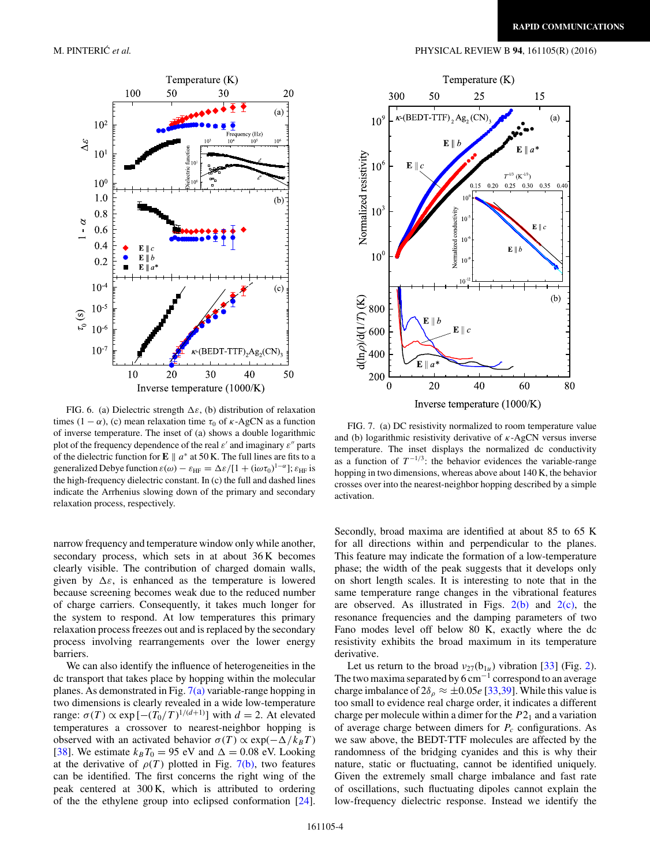<span id="page-3-0"></span>

FIG. 6. (a) Dielectric strength  $\Delta \varepsilon$ , (b) distribution of relaxation times (1 – *α*), (c) mean relaxation time  $τ_0$  of *κ*-AgCN as a function of inverse temperature. The inset of (a) shows a double logarithmic plot of the frequency dependence of the real  $\varepsilon'$  and imaginary  $\varepsilon''$  parts of the dielectric function for **E**  $\parallel$  *a*<sup>\*</sup> at 50 K. The full lines are fits to a generalized Debye function  $\varepsilon(\omega) - \varepsilon_{HF} = \Delta \varepsilon / [1 + (i\omega \tau_0)^{1-\alpha}]$ ;  $\varepsilon_{HF}$  is the high-frequency dielectric constant. In (c) the full and dashed lines indicate the Arrhenius slowing down of the primary and secondary relaxation process, respectively.

narrow frequency and temperature window only while another, secondary process, which sets in at about 36 K becomes clearly visible. The contribution of charged domain walls, given by  $\Delta \varepsilon$ , is enhanced as the temperature is lowered because screening becomes weak due to the reduced number of charge carriers. Consequently, it takes much longer for the system to respond. At low temperatures this primary relaxation process freezes out and is replaced by the secondary process involving rearrangements over the lower energy barriers.

We can also identify the influence of heterogeneities in the dc transport that takes place by hopping within the molecular planes. As demonstrated in Fig.  $7(a)$  variable-range hopping in two dimensions is clearly revealed in a wide low-temperature range:  $\sigma(T) \propto \exp[-(T_0/T)^{1/(d+1)}]$  with  $d = 2$ . At elevated temperatures a crossover to nearest-neighbor hopping is observed with an activated behavior  $\sigma(T) \propto \exp(-\Delta/k_B T)$ [\[38\]](#page-5-0). We estimate  $k_B T_0 = 95$  eV and  $\Delta = 0.08$  eV. Looking at the derivative of  $\rho(T)$  plotted in Fig. 7(b), two features can be identified. The first concerns the right wing of the peak centered at 300 K, which is attributed to ordering of the the ethylene group into eclipsed conformation [\[24\]](#page-4-0).





FIG. 7. (a) DC resistivity normalized to room temperature value and (b) logarithmic resistivity derivative of *κ*-AgCN versus inverse temperature. The inset displays the normalized dc conductivity as a function of  $T^{-1/3}$ : the behavior evidences the variable-range hopping in two dimensions, whereas above about 140 K, the behavior crosses over into the nearest-neighbor hopping described by a simple activation.

Secondly, broad maxima are identified at about 85 to 65 K for all directions within and perpendicular to the planes. This feature may indicate the formation of a low-temperature phase; the width of the peak suggests that it develops only on short length scales. It is interesting to note that in the same temperature range changes in the vibrational features are observed. As illustrated in Figs.  $2(b)$  and  $2(c)$ , the resonance frequencies and the damping parameters of two Fano modes level off below 80 K, exactly where the dc resistivity exhibits the broad maximum in its temperature derivative.

Let us return to the broad  $v_{27}(b_{1u})$  vibration [\[33\]](#page-5-0) (Fig. [2\)](#page-1-0). The two maxima separated by  $6 \text{ cm}^{-1}$  correspond to an average charge imbalance of  $2\delta_\rho \approx \pm 0.05e$  [\[33,39\]](#page-5-0). While this value is too small to evidence real charge order, it indicates a different charge per molecule within a dimer for the  $P2<sub>1</sub>$  and a variation of average charge between dimers for *Pc* configurations. As we saw above, the BEDT-TTF molecules are affected by the randomness of the bridging cyanides and this is why their nature, static or fluctuating, cannot be identified uniquely. Given the extremely small charge imbalance and fast rate of oscillations, such fluctuating dipoles cannot explain the low-frequency dielectric response. Instead we identify the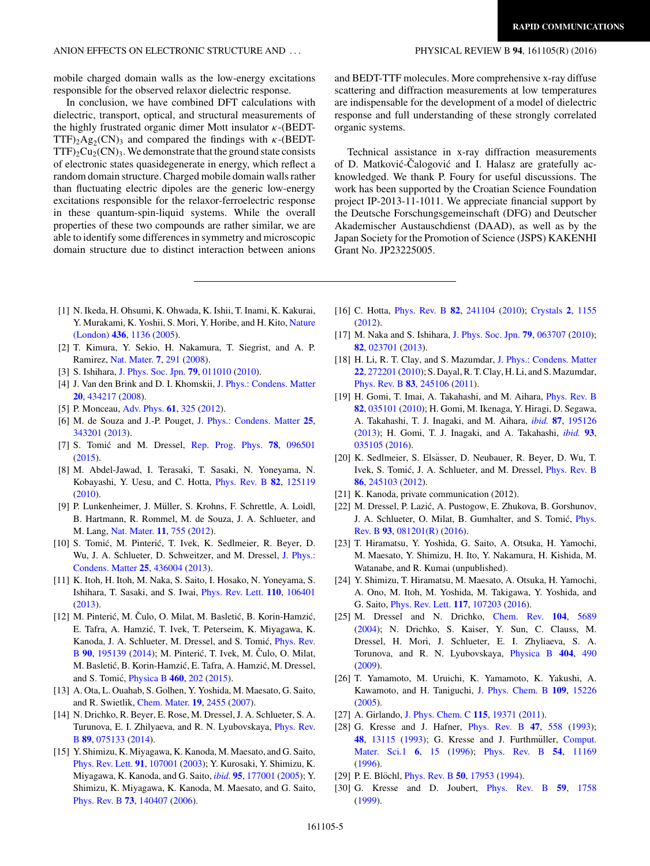<span id="page-4-0"></span>mobile charged domain walls as the low-energy excitations responsible for the observed relaxor dielectric response.

In conclusion, we have combined DFT calculations with dielectric, transport, optical, and structural measurements of the highly frustrated organic dimer Mott insulator *κ*-(BEDT-TTF)<sub>2</sub>Ag<sub>2</sub>(CN)<sub>3</sub> and compared the findings with  $\kappa$ -(BEDT- $TTF)_2Cu_2(CN)_3$ . We demonstrate that the ground state consists of electronic states quasidegenerate in energy, which reflect a random domain structure. Charged mobile domain walls rather than fluctuating electric dipoles are the generic low-energy excitations responsible for the relaxor-ferroelectric response in these quantum-spin-liquid systems. While the overall properties of these two compounds are rather similar, we are able to identify some differences in symmetry and microscopic domain structure due to distinct interaction between anions

and BEDT-TTF molecules. More comprehensive x-ray diffuse scattering and diffraction measurements at low temperatures are indispensable for the development of a model of dielectric response and full understanding of these strongly correlated organic systems.

Technical assistance in x-ray diffraction measurements of D. Matković-Čalogović and I. Halasz are gratefully acknowledged. We thank P. Foury for useful discussions. The work has been supported by the Croatian Science Foundation project IP-2013-11-1011. We appreciate financial support by the Deutsche Forschungsgemeinschaft (DFG) and Deutscher Akademischer Austauschdienst (DAAD), as well as by the Japan Society for the Promotion of Science (JSPS) KAKENHI Grant No. JP23225005.

- [1] N. Ikeda, H. Ohsumi, K. Ohwada, K. Ishii, T. Inami, K. Kakurai, [Y. Murakami, K. Yoshii, S. Mori, Y. Horibe, and H. Kito,](http://dx.doi.org/10.1038/nature04039) Nature (London) **[436](http://dx.doi.org/10.1038/nature04039)**, [1136](http://dx.doi.org/10.1038/nature04039) [\(2005\)](http://dx.doi.org/10.1038/nature04039).
- [2] T. Kimura, Y. Sekio, H. Nakamura, T. Siegrist, and A. P. Ramirez, [Nat. Mater.](http://dx.doi.org/10.1038/nmat2125) **[7](http://dx.doi.org/10.1038/nmat2125)**, [291](http://dx.doi.org/10.1038/nmat2125) [\(2008\)](http://dx.doi.org/10.1038/nmat2125).
- [3] S. Ishihara, [J. Phys. Soc. Jpn.](http://dx.doi.org/10.1143/JPSJ.79.011010) **[79](http://dx.doi.org/10.1143/JPSJ.79.011010)**, [011010](http://dx.doi.org/10.1143/JPSJ.79.011010) [\(2010\)](http://dx.doi.org/10.1143/JPSJ.79.011010).
- [4] J. Van den Brink and D. I. Khomskii, [J. Phys.: Condens. Matter](http://dx.doi.org/10.1088/0953-8984/20/43/434217) **[20](http://dx.doi.org/10.1088/0953-8984/20/43/434217)**, [434217](http://dx.doi.org/10.1088/0953-8984/20/43/434217) [\(2008\)](http://dx.doi.org/10.1088/0953-8984/20/43/434217).
- [5] P. Monceau, [Adv. Phys.](http://dx.doi.org/10.1080/00018732.2012.719674) **[61](http://dx.doi.org/10.1080/00018732.2012.719674)**, [325](http://dx.doi.org/10.1080/00018732.2012.719674) [\(2012\)](http://dx.doi.org/10.1080/00018732.2012.719674).
- [6] M. de Souza and J.-P. Pouget, [J. Phys.: Condens. Matter](http://dx.doi.org/10.1088/0953-8984/25/34/343201) **[25](http://dx.doi.org/10.1088/0953-8984/25/34/343201)**, [343201](http://dx.doi.org/10.1088/0953-8984/25/34/343201) [\(2013\)](http://dx.doi.org/10.1088/0953-8984/25/34/343201).
- [7] S. Tomić and M. Dressel, [Rep. Prog. Phys.](http://dx.doi.org/10.1088/0034-4885/78/9/096501) **[78](http://dx.doi.org/10.1088/0034-4885/78/9/096501)**, [096501](http://dx.doi.org/10.1088/0034-4885/78/9/096501) [\(2015\)](http://dx.doi.org/10.1088/0034-4885/78/9/096501).
- [8] M. Abdel-Jawad, I. Terasaki, T. Sasaki, N. Yoneyama, N. Kobayashi, Y. Uesu, and C. Hotta, [Phys. Rev. B](http://dx.doi.org/10.1103/PhysRevB.82.125119) **[82](http://dx.doi.org/10.1103/PhysRevB.82.125119)**, [125119](http://dx.doi.org/10.1103/PhysRevB.82.125119) [\(2010\)](http://dx.doi.org/10.1103/PhysRevB.82.125119).
- [9] P. Lunkenheimer, J. Müller, S. Krohns, F. Schrettle, A. Loidl, B. Hartmann, R. Rommel, M. de Souza, J. A. Schlueter, and M. Lang, [Nat. Mater.](http://dx.doi.org/10.1038/nmat3400) **[11](http://dx.doi.org/10.1038/nmat3400)**, [755](http://dx.doi.org/10.1038/nmat3400) [\(2012\)](http://dx.doi.org/10.1038/nmat3400).
- [10] S. Tomić, M. Pinterić, T. Ivek, K. Sedlmeier, R. Beyer, D. [Wu, J. A. Schlueter, D. Schweitzer, and M. Dressel,](http://dx.doi.org/10.1088/0953-8984/25/43/436004) J. Phys.: Condens. Matter **[25](http://dx.doi.org/10.1088/0953-8984/25/43/436004)**, [436004](http://dx.doi.org/10.1088/0953-8984/25/43/436004) [\(2013\)](http://dx.doi.org/10.1088/0953-8984/25/43/436004).
- [11] K. Itoh, H. Itoh, M. Naka, S. Saito, I. Hosako, N. Yoneyama, S. Ishihara, T. Sasaki, and S. Iwai, [Phys. Rev. Lett.](http://dx.doi.org/10.1103/PhysRevLett.110.106401) **[110](http://dx.doi.org/10.1103/PhysRevLett.110.106401)**, [106401](http://dx.doi.org/10.1103/PhysRevLett.110.106401) [\(2013\)](http://dx.doi.org/10.1103/PhysRevLett.110.106401).
- [12] M. Pinterić, M. Čulo, O. Milat, M. Basletić, B. Korin-Hamzić, E. Tafra, A. Hamzic, T. Ivek, T. Peterseim, K. Miyagawa, K. ´ Kanoda, J. A. Schlueter, M. Dressel, and S. Tomić, *Phys. Rev.* B [90](http://dx.doi.org/10.1103/PhysRevB.90.195139), [195139](http://dx.doi.org/10.1103/PhysRevB.90.195139) [\(2014\)](http://dx.doi.org/10.1103/PhysRevB.90.195139); M. Pinterić, T. Ivek, M. Čulo, O. Milat, M. Basletić, B. Korin-Hamzić, E. Tafra, A. Hamzić, M. Dressel, and S. Tomic,´ [Physica B](http://dx.doi.org/10.1016/j.physb.2014.11.071) **[460](http://dx.doi.org/10.1016/j.physb.2014.11.071)**, [202](http://dx.doi.org/10.1016/j.physb.2014.11.071) [\(2015\)](http://dx.doi.org/10.1016/j.physb.2014.11.071).
- [13] A. Ota, L. Ouahab, S. Golhen, Y. Yoshida, M. Maesato, G. Saito, and R. Swietlik, [Chem. Mater.](http://dx.doi.org/10.1021/cm063036k) **[19](http://dx.doi.org/10.1021/cm063036k)**, [2455](http://dx.doi.org/10.1021/cm063036k) [\(2007\)](http://dx.doi.org/10.1021/cm063036k).
- [14] N. Drichko, R. Beyer, E. Rose, M. Dressel, J. A. Schlueter, S. A. [Turunova, E. I. Zhilyaeva, and R. N. Lyubovskaya,](http://dx.doi.org/10.1103/PhysRevB.89.075133) Phys. Rev. B **[89](http://dx.doi.org/10.1103/PhysRevB.89.075133)**, [075133](http://dx.doi.org/10.1103/PhysRevB.89.075133) [\(2014\)](http://dx.doi.org/10.1103/PhysRevB.89.075133).
- [15] Y. Shimizu, K. Miyagawa, K. Kanoda, M. Maesato, and G. Saito, [Phys. Rev. Lett.](http://dx.doi.org/10.1103/PhysRevLett.91.107001) **[91](http://dx.doi.org/10.1103/PhysRevLett.91.107001)**, [107001](http://dx.doi.org/10.1103/PhysRevLett.91.107001) [\(2003\)](http://dx.doi.org/10.1103/PhysRevLett.91.107001); Y. Kurosaki, Y. Shimizu, K. Miyagawa, K. Kanoda, and G. Saito, *[ibid.](http://dx.doi.org/10.1103/PhysRevLett.95.177001)* **[95](http://dx.doi.org/10.1103/PhysRevLett.95.177001)**, [177001](http://dx.doi.org/10.1103/PhysRevLett.95.177001) [\(2005\)](http://dx.doi.org/10.1103/PhysRevLett.95.177001); Y. Shimizu, K. Miyagawa, K. Kanoda, M. Maesato, and G. Saito, [Phys. Rev. B](http://dx.doi.org/10.1103/PhysRevB.73.140407) **[73](http://dx.doi.org/10.1103/PhysRevB.73.140407)**, [140407](http://dx.doi.org/10.1103/PhysRevB.73.140407) [\(2006\)](http://dx.doi.org/10.1103/PhysRevB.73.140407).
- [16] C. Hotta, [Phys. Rev. B](http://dx.doi.org/10.1103/PhysRevB.82.241104) **[82](http://dx.doi.org/10.1103/PhysRevB.82.241104)**, [241104](http://dx.doi.org/10.1103/PhysRevB.82.241104) [\(2010\)](http://dx.doi.org/10.1103/PhysRevB.82.241104); [Crystals](http://dx.doi.org/10.3390/cryst2031155) **[2](http://dx.doi.org/10.3390/cryst2031155)**, [1155](http://dx.doi.org/10.3390/cryst2031155) [\(2012\)](http://dx.doi.org/10.3390/cryst2031155).
- [17] M. Naka and S. Ishihara, [J. Phys. Soc. Jpn.](http://dx.doi.org/10.1143/JPSJ.79.063707) **[79](http://dx.doi.org/10.1143/JPSJ.79.063707)**, [063707](http://dx.doi.org/10.1143/JPSJ.79.063707) [\(2010\)](http://dx.doi.org/10.1143/JPSJ.79.063707); **[82](http://dx.doi.org/10.7566/JPSJ.82.023701)**, [023701](http://dx.doi.org/10.7566/JPSJ.82.023701) [\(2013\)](http://dx.doi.org/10.7566/JPSJ.82.023701).
- [18] H. Li, R. T. Clay, and S. Mazumdar, [J. Phys.: Condens. Matter](http://dx.doi.org/10.1088/0953-8984/22/27/272201) **[22](http://dx.doi.org/10.1088/0953-8984/22/27/272201)**, [272201](http://dx.doi.org/10.1088/0953-8984/22/27/272201) [\(2010\)](http://dx.doi.org/10.1088/0953-8984/22/27/272201); S. Dayal, R. T. Clay, H. Li, and S. Mazumdar, [Phys. Rev. B](http://dx.doi.org/10.1103/PhysRevB.83.245106) **[83](http://dx.doi.org/10.1103/PhysRevB.83.245106)**, [245106](http://dx.doi.org/10.1103/PhysRevB.83.245106) [\(2011\)](http://dx.doi.org/10.1103/PhysRevB.83.245106).
- [19] H. Gomi, T. Imai, A. Takahashi, and M. Aihara, [Phys. Rev. B](http://dx.doi.org/10.1103/PhysRevB.82.035101) **[82](http://dx.doi.org/10.1103/PhysRevB.82.035101)**, [035101](http://dx.doi.org/10.1103/PhysRevB.82.035101) [\(2010\)](http://dx.doi.org/10.1103/PhysRevB.82.035101); H. Gomi, M. Ikenaga, Y. Hiragi, D. Segawa, A. Takahashi, T. J. Inagaki, and M. Aihara, *[ibid.](http://dx.doi.org/10.1103/PhysRevB.87.195126)* **[87](http://dx.doi.org/10.1103/PhysRevB.87.195126)**, [195126](http://dx.doi.org/10.1103/PhysRevB.87.195126) [\(2013\)](http://dx.doi.org/10.1103/PhysRevB.87.195126); H. Gomi, T. J. Inagaki, and A. Takahashi, *[ibid.](http://dx.doi.org/10.1103/PhysRevB.93.035105)* **[93](http://dx.doi.org/10.1103/PhysRevB.93.035105)**, [035105](http://dx.doi.org/10.1103/PhysRevB.93.035105) [\(2016\)](http://dx.doi.org/10.1103/PhysRevB.93.035105).
- [20] K. Sedlmeier, S. Elsässer, D. Neubauer, R. Beyer, D. Wu, T. Ivek, S. Tomić, J. A. Schlueter, and M. Dressel, *[Phys. Rev. B](http://dx.doi.org/10.1103/PhysRevB.86.245103)* **[86](http://dx.doi.org/10.1103/PhysRevB.86.245103)**, [245103](http://dx.doi.org/10.1103/PhysRevB.86.245103) [\(2012\)](http://dx.doi.org/10.1103/PhysRevB.86.245103).
- [21] K. Kanoda, private communication (2012).
- [22] M. Dressel, P. Lazic, A. Pustogow, E. Zhukova, B. Gorshunov, ´ J. A. Schlueter, O. Milat, B. Gumhalter, and S. Tomić, *Phys.* Rev. B **[93](http://dx.doi.org/10.1103/PhysRevB.93.081201)**, [081201\(R\)](http://dx.doi.org/10.1103/PhysRevB.93.081201) [\(2016\)](http://dx.doi.org/10.1103/PhysRevB.93.081201).
- [23] T. Hiramatsu, Y. Yoshida, G. Saito, A. Otsuka, H. Yamochi, M. Maesato, Y. Shimizu, H. Ito, Y. Nakamura, H. Kishida, M. Watanabe, and R. Kumai (unpublished).
- [24] Y. Shimizu, T. Hiramatsu, M. Maesato, A. Otsuka, H. Yamochi, A. Ono, M. Itoh, M. Yoshida, M. Takigawa, Y. Yoshida, and G. Saito, [Phys. Rev. Lett.](http://dx.doi.org/10.1103/PhysRevLett.117.107203) **[117](http://dx.doi.org/10.1103/PhysRevLett.117.107203)**, [107203](http://dx.doi.org/10.1103/PhysRevLett.117.107203) [\(2016\)](http://dx.doi.org/10.1103/PhysRevLett.117.107203).
- [25] M. Dressel and N. Drichko, [Chem. Rev.](http://dx.doi.org/10.1021/cr030642f) **[104](http://dx.doi.org/10.1021/cr030642f)**, [5689](http://dx.doi.org/10.1021/cr030642f) [\(2004\)](http://dx.doi.org/10.1021/cr030642f); N. Drichko, S. Kaiser, Y. Sun, C. Clauss, M. Dressel, H. Mori, J. Schlueter, E. I. Zhyliaeva, S. A. Torunova, and R. N. Lyubovskaya, [Physica B](http://dx.doi.org/10.1016/j.physb.2008.11.038) **[404](http://dx.doi.org/10.1016/j.physb.2008.11.038)**, [490](http://dx.doi.org/10.1016/j.physb.2008.11.038) [\(2009\)](http://dx.doi.org/10.1016/j.physb.2008.11.038).
- [26] T. Yamamoto, M. Uruichi, K. Yamamoto, K. Yakushi, A. Kawamoto, and H. Taniguchi, [J. Phys. Chem. B](http://dx.doi.org/10.1021/jp050247o) **[109](http://dx.doi.org/10.1021/jp050247o)**, [15226](http://dx.doi.org/10.1021/jp050247o)  $(2005).$  $(2005).$
- [27] A. Girlando, [J. Phys. Chem. C](http://dx.doi.org/10.1021/jp206171r) **[115](http://dx.doi.org/10.1021/jp206171r)**, [19371](http://dx.doi.org/10.1021/jp206171r) [\(2011\)](http://dx.doi.org/10.1021/jp206171r).
- [28] G. Kresse and J. Hafner, [Phys. Rev. B](http://dx.doi.org/10.1103/PhysRevB.47.558) **[47](http://dx.doi.org/10.1103/PhysRevB.47.558)**, [558](http://dx.doi.org/10.1103/PhysRevB.47.558) [\(1993\)](http://dx.doi.org/10.1103/PhysRevB.47.558); **[48](http://dx.doi.org/10.1103/PhysRevB.48.13115)**, [13115](http://dx.doi.org/10.1103/PhysRevB.48.13115) [\(](http://dx.doi.org/10.1016/0927-0256(96)00008-0)[1993](http://dx.doi.org/10.1103/PhysRevB.48.13115)); G. Kresse and J. Furthmüller, Comput. Mater. Sci.1 **[6](http://dx.doi.org/10.1016/0927-0256(96)00008-0)**, [15](http://dx.doi.org/10.1016/0927-0256(96)00008-0) [\(1996\)](http://dx.doi.org/10.1016/0927-0256(96)00008-0); [Phys. Rev. B](http://dx.doi.org/10.1103/PhysRevB.54.11169) **[54](http://dx.doi.org/10.1103/PhysRevB.54.11169)**, [11169](http://dx.doi.org/10.1103/PhysRevB.54.11169) [\(1996\)](http://dx.doi.org/10.1103/PhysRevB.54.11169).
- [29] P. E. Blochl, *[Phys. Rev. B](http://dx.doi.org/10.1103/PhysRevB.50.17953)* [50](http://dx.doi.org/10.1103/PhysRevB.50.17953), [17953](http://dx.doi.org/10.1103/PhysRevB.50.17953) [\(1994\)](http://dx.doi.org/10.1103/PhysRevB.50.17953).
- [30] G. Kresse and D. Joubert, [Phys. Rev. B](http://dx.doi.org/10.1103/PhysRevB.59.1758) **[59](http://dx.doi.org/10.1103/PhysRevB.59.1758)**, [1758](http://dx.doi.org/10.1103/PhysRevB.59.1758) [\(1999\)](http://dx.doi.org/10.1103/PhysRevB.59.1758).